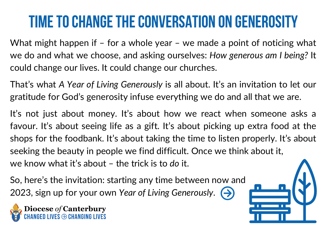## TIME TO CHANGE THE CONVERSATION ON GENEROSITY

What might happen if – for a whole year – we made a point of noticing what we do and what we choose, and asking ourselves: *How generous am I being?* It could change our lives. It could change our churches.

That's what *A Year of Living Generously* is all about. It's an invitation to let our gratitude for God's generosity infuse everything we do and all that we are.

It's not just about money. It's about how we react when someone asks a favour. It's about seeing life as a gift. It's about picking up extra food at the shops for the foodbank. It's about taking the time to listen properly. It's about seeking the beauty in people we find difficult. Once we think about it, we know what it's about – the trick is to *do* it.

So, here's the invitation: starting any time between now and 2023, sign up for your own *Year of Living Generously*.